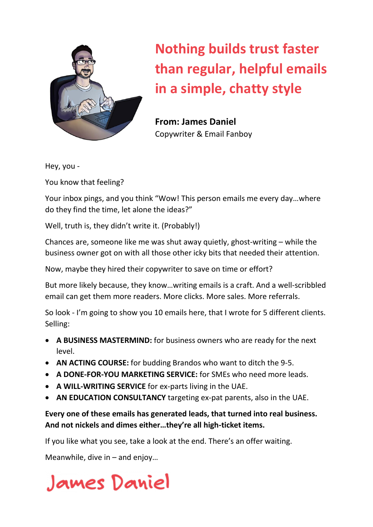

# **Nothing builds trust faster than regular, helpful emails in a simple, chatty style**

**From: James Daniel** Copywriter & Email Fanboy

Hey, you -

You know that feeling?

Your inbox pings, and you think "Wow! This person emails me every day…where do they find the time, let alone the ideas?"

Well, truth is, they didn't write it. (Probably!)

Chances are, someone like me was shut away quietly, ghost-writing – while the business owner got on with all those other icky bits that needed their attention.

Now, maybe they hired their copywriter to save on time or effort?

But more likely because, they know…writing emails is a craft. And a well-scribbled email can get them more readers. More clicks. More sales. More referrals.

So look - I'm going to show you 10 emails here, that I wrote for 5 different clients. Selling:

- **A BUSINESS MASTERMIND:** for business owners who are ready for the next level.
- **AN ACTING COURSE:** for budding Brandos who want to ditch the 9-5.
- **A DONE-FOR-YOU MARKETING SERVICE:** for SMEs who need more leads.
- **A WILL-WRITING SERVICE** for ex-parts living in the UAE.
- **AN EDUCATION CONSULTANCY** targeting ex-pat parents, also in the UAE.

#### **Every one of these emails has generated leads, that turned into real business. And not nickels and dimes either…they're all high-ticket items.**

If you like what you see, take a look at the end. There's an offer waiting.

Meanwhile, dive in – and enjoy…

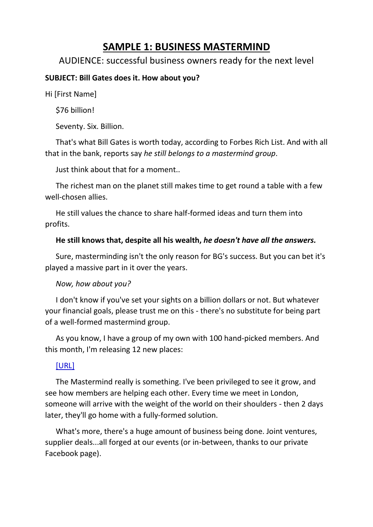### **SAMPLE 1: BUSINESS MASTERMIND**

#### AUDIENCE: successful business owners ready for the next level

#### **SUBJECT: Bill Gates does it. How about you?**

Hi [First Name]

\$76 billion!

Seventy. Six. Billion.

That's what Bill Gates is worth today, according to Forbes Rich List. And with all that in the bank, reports say *he still belongs to a mastermind group*.

Just think about that for a moment..

The richest man on the planet still makes time to get round a table with a few well-chosen allies.

He still values the chance to share half-formed ideas and turn them into profits.

#### **He still knows that, despite all his wealth,** *he doesn't have all the answers.*

Sure, masterminding isn't the only reason for BG's success. But you can bet it's played a massive part in it over the years.

#### *Now, how about you?*

I don't know if you've set your sights on a billion dollars or not. But whatever your financial goals, please trust me on this - there's no substitute for being part of a well-formed mastermind group.

As you know, I have a group of my own with 100 hand-picked members. And this month, I'm releasing 12 new places:

#### [URL]

The Mastermind really is something. I've been privileged to see it grow, and see how members are helping each other. Every time we meet in London, someone will arrive with the weight of the world on their shoulders - then 2 days later, they'll go home with a fully-formed solution.

What's more, there's a huge amount of business being done. Joint ventures, supplier deals...all forged at our events (or in-between, thanks to our private Facebook page).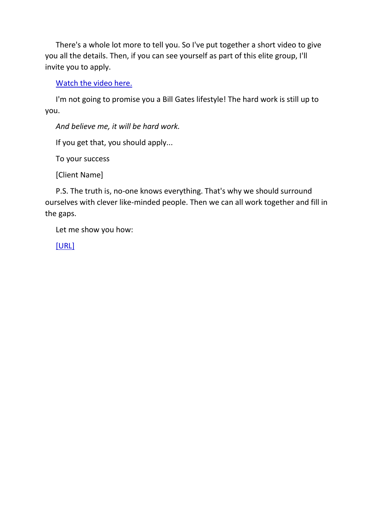There's a whole lot more to tell you. So I've put together a short video to give you all the details. Then, if you can see yourself as part of this elite group, I'll invite you to apply.

Watch the video here.

I'm not going to promise you a Bill Gates lifestyle! The hard work is still up to you.

*And believe me, it will be hard work.*

If you get that, you should apply...

To your success

[Client Name]

P.S. The truth is, no-one knows everything. That's why we should surround ourselves with clever like-minded people. Then we can all work together and fill in the gaps.

Let me show you how:

[URL]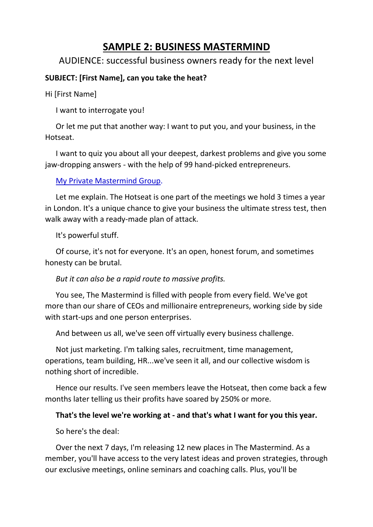### **SAMPLE 2: BUSINESS MASTERMIND**

#### AUDIENCE: successful business owners ready for the next level

#### **SUBJECT: [First Name], can you take the heat?**

Hi [First Name]

I want to interrogate you!

Or let me put that another way: I want to put you, and your business, in the Hotseat.

I want to quiz you about all your deepest, darkest problems and give you some jaw-dropping answers - with the help of 99 hand-picked entrepreneurs.

My Private Mastermind Group.

Let me explain. The Hotseat is one part of the meetings we hold 3 times a year in London. It's a unique chance to give your business the ultimate stress test, then walk away with a ready-made plan of attack.

It's powerful stuff.

Of course, it's not for everyone. It's an open, honest forum, and sometimes honesty can be brutal.

#### *But it can also be a rapid route to massive profits.*

You see, The Mastermind is filled with people from every field. We've got more than our share of CEOs and millionaire entrepreneurs, working side by side with start-ups and one person enterprises.

And between us all, we've seen off virtually every business challenge.

Not just marketing. I'm talking sales, recruitment, time management, operations, team building, HR...we've seen it all, and our collective wisdom is nothing short of incredible.

Hence our results. I've seen members leave the Hotseat, then come back a few months later telling us their profits have soared by 250% or more.

#### **That's the level we're working at - and that's what I want for you this year.**

So here's the deal:

Over the next 7 days, I'm releasing 12 new places in The Mastermind. As a member, you'll have access to the very latest ideas and proven strategies, through our exclusive meetings, online seminars and coaching calls. Plus, you'll be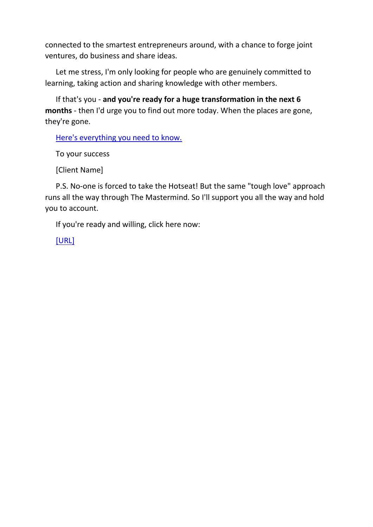connected to the smartest entrepreneurs around, with a chance to forge joint ventures, do business and share ideas.

Let me stress, I'm only looking for people who are genuinely committed to learning, taking action and sharing knowledge with other members.

If that's you - **and you're ready for a huge transformation in the next 6 months** - then I'd urge you to find out more today. When the places are gone, they're gone.

Here's everything you need to know.

To your success

[Client Name]

P.S. No-one is forced to take the Hotseat! But the same "tough love" approach runs all the way through The Mastermind. So I'll support you all the way and hold you to account.

If you're ready and willing, click here now:

[URL]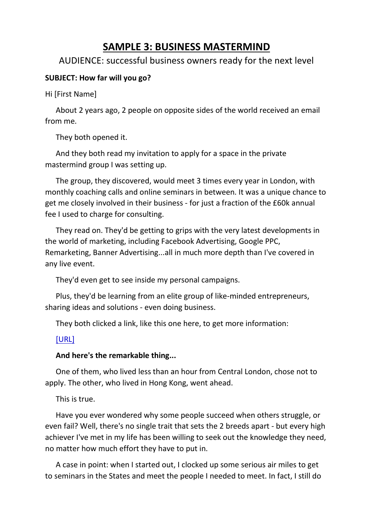### **SAMPLE 3: BUSINESS MASTERMIND**

#### AUDIENCE: successful business owners ready for the next level

#### **SUBJECT: How far will you go?**

Hi [First Name]

About 2 years ago, 2 people on opposite sides of the world received an email from me.

They both opened it.

And they both read my invitation to apply for a space in the private mastermind group I was setting up.

The group, they discovered, would meet 3 times every year in London, with monthly coaching calls and online seminars in between. It was a unique chance to get me closely involved in their business - for just a fraction of the £60k annual fee I used to charge for consulting.

They read on. They'd be getting to grips with the very latest developments in the world of marketing, including Facebook Advertising, Google PPC, Remarketing, Banner Advertising...all in much more depth than I've covered in any live event.

They'd even get to see inside my personal campaigns.

Plus, they'd be learning from an elite group of like-minded entrepreneurs, sharing ideas and solutions - even doing business.

They both clicked a link, like this one here, to get more information:

#### [URL]

#### **And here's the remarkable thing...**

One of them, who lived less than an hour from Central London, chose not to apply. The other, who lived in Hong Kong, went ahead.

This is true.

Have you ever wondered why some people succeed when others struggle, or even fail? Well, there's no single trait that sets the 2 breeds apart - but every high achiever I've met in my life has been willing to seek out the knowledge they need, no matter how much effort they have to put in.

A case in point: when I started out, I clocked up some serious air miles to get to seminars in the States and meet the people I needed to meet. In fact, I still do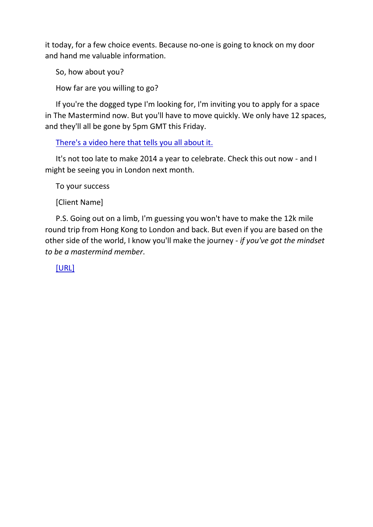it today, for a few choice events. Because no-one is going to knock on my door and hand me valuable information.

So, how about you?

How far are you willing to go?

If you're the dogged type I'm looking for, I'm inviting you to apply for a space in The Mastermind now. But you'll have to move quickly. We only have 12 spaces, and they'll all be gone by 5pm GMT this Friday.

There's a video here that tells you all about it.

It's not too late to make 2014 a year to celebrate. Check this out now - and I might be seeing you in London next month.

To your success

[Client Name]

P.S. Going out on a limb, I'm guessing you won't have to make the 12k mile round trip from Hong Kong to London and back. But even if you are based on the other side of the world, I know you'll make the journey - *if you've got the mindset to be a mastermind member*.

[URL]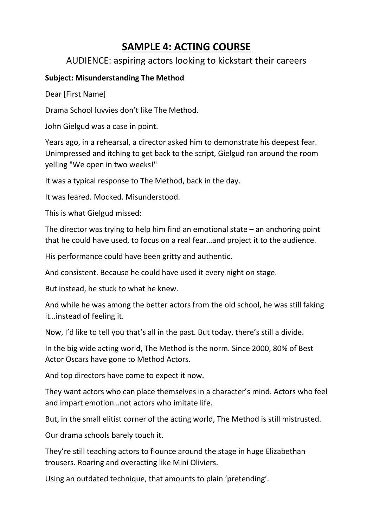### **SAMPLE 4: ACTING COURSE**

#### AUDIENCE: aspiring actors looking to kickstart their careers

#### **Subject: Misunderstanding The Method**

Dear [First Name]

Drama School luvvies don't like The Method.

John Gielgud was a case in point.

Years ago, in a rehearsal, a director asked him to demonstrate his deepest fear. Unimpressed and itching to get back to the script, Gielgud ran around the room yelling "We open in two weeks!"

It was a typical response to The Method, back in the day.

It was feared. Mocked. Misunderstood.

This is what Gielgud missed:

The director was trying to help him find an emotional state  $-$  an anchoring point that he could have used, to focus on a real fear…and project it to the audience.

His performance could have been gritty and authentic.

And consistent. Because he could have used it every night on stage.

But instead, he stuck to what he knew.

And while he was among the better actors from the old school, he was still faking it…instead of feeling it.

Now, I'd like to tell you that's all in the past. But today, there's still a divide.

In the big wide acting world, The Method is the norm. Since 2000, 80% of Best Actor Oscars have gone to Method Actors.

And top directors have come to expect it now.

They want actors who can place themselves in a character's mind. Actors who feel and impart emotion…not actors who imitate life.

But, in the small elitist corner of the acting world, The Method is still mistrusted.

Our drama schools barely touch it.

They're still teaching actors to flounce around the stage in huge Elizabethan trousers. Roaring and overacting like Mini Oliviers.

Using an outdated technique, that amounts to plain 'pretending'.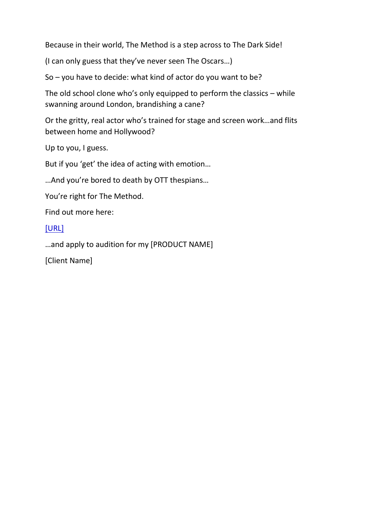Because in their world, The Method is a step across to The Dark Side!

(I can only guess that they've never seen The Oscars…)

So – you have to decide: what kind of actor do you want to be?

The old school clone who's only equipped to perform the classics – while swanning around London, brandishing a cane?

Or the gritty, real actor who's trained for stage and screen work…and flits between home and Hollywood?

Up to you, I guess.

But if you 'get' the idea of acting with emotion…

…And you're bored to death by OTT thespians…

You're right for The Method.

Find out more here:

#### [URL]

…and apply to audition for my [PRODUCT NAME]

[Client Name]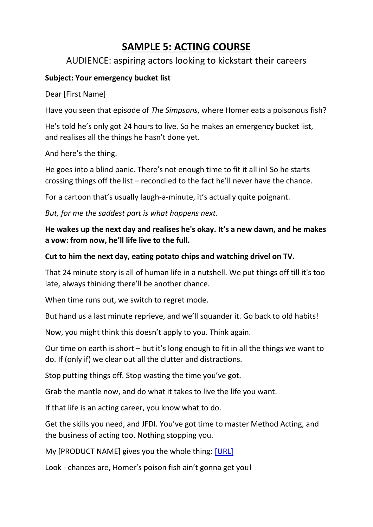### **SAMPLE 5: ACTING COURSE**

#### AUDIENCE: aspiring actors looking to kickstart their careers

#### **Subject: Your emergency bucket list**

Dear [First Name]

Have you seen that episode of *The Simpsons*, where Homer eats a poisonous fish?

He's told he's only got 24 hours to live. So he makes an emergency bucket list, and realises all the things he hasn't done yet.

And here's the thing.

He goes into a blind panic. There's not enough time to fit it all in! So he starts crossing things off the list – reconciled to the fact he'll never have the chance.

For a cartoon that's usually laugh-a-minute, it's actually quite poignant.

*But, for me the saddest part is what happens next.*

**He wakes up the next day and realises he's okay. It's a new dawn, and he makes a vow: from now, he'll life live to the full.** 

#### **Cut to him the next day, eating potato chips and watching drivel on TV.**

That 24 minute story is all of human life in a nutshell. We put things off till it's too late, always thinking there'll be another chance.

When time runs out, we switch to regret mode.

But hand us a last minute reprieve, and we'll squander it. Go back to old habits!

Now, you might think this doesn't apply to you. Think again.

Our time on earth is short – but it's long enough to fit in all the things we want to do. If (only if) we clear out all the clutter and distractions.

Stop putting things off. Stop wasting the time you've got.

Grab the mantle now, and do what it takes to live the life you want.

If that life is an acting career, you know what to do.

Get the skills you need, and JFDI. You've got time to master Method Acting, and the business of acting too. Nothing stopping you.

My [PRODUCT NAME] gives you the whole thing: [URL]

Look - chances are, Homer's poison fish ain't gonna get you!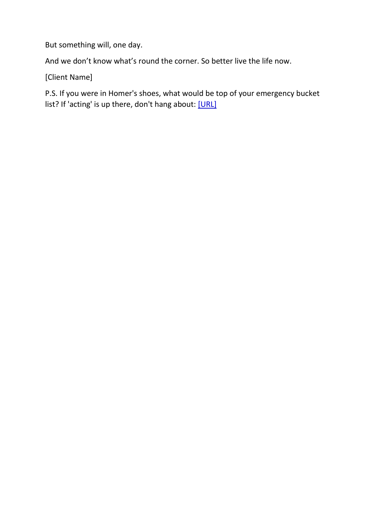But something will, one day.

And we don't know what's round the corner. So better live the life now.

[Client Name]

P.S. If you were in Homer's shoes, what would be top of your emergency bucket list? If 'acting' is up there, don't hang about: [URL]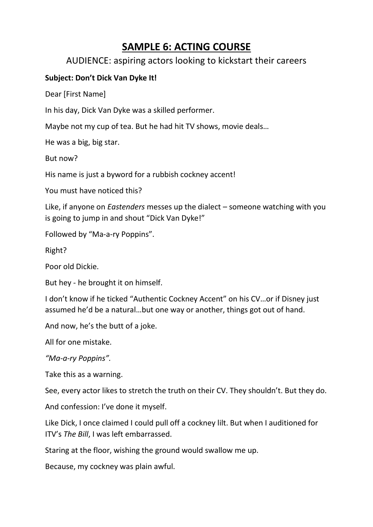### **SAMPLE 6: ACTING COURSE**

#### AUDIENCE: aspiring actors looking to kickstart their careers

#### **Subject: Don't Dick Van Dyke It!**

Dear [First Name]

In his day, Dick Van Dyke was a skilled performer.

Maybe not my cup of tea. But he had hit TV shows, movie deals…

He was a big, big star.

But now?

His name is just a byword for a rubbish cockney accent!

You must have noticed this?

Like, if anyone on *Eastenders* messes up the dialect – someone watching with you is going to jump in and shout "Dick Van Dyke!"

Followed by "Ma-a-ry Poppins".

Right?

Poor old Dickie.

But hey - he brought it on himself.

I don't know if he ticked "Authentic Cockney Accent" on his CV…or if Disney just assumed he'd be a natural…but one way or another, things got out of hand.

And now, he's the butt of a joke.

All for one mistake.

*"Ma-a-ry Poppins".*

Take this as a warning.

See, every actor likes to stretch the truth on their CV. They shouldn't. But they do.

And confession: I've done it myself.

Like Dick, I once claimed I could pull off a cockney lilt. But when I auditioned for ITV's *The Bill*, I was left embarrassed.

Staring at the floor, wishing the ground would swallow me up.

Because, my cockney was plain awful.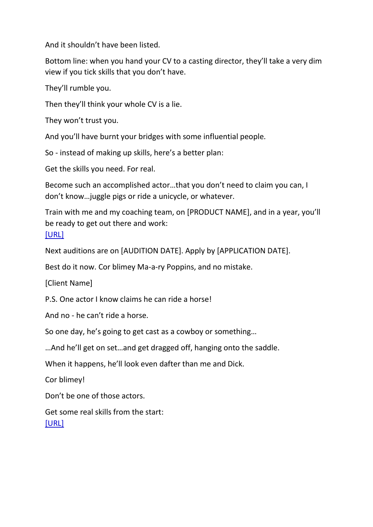And it shouldn't have been listed.

Bottom line: when you hand your CV to a casting director, they'll take a very dim view if you tick skills that you don't have.

They'll rumble you.

Then they'll think your whole CV is a lie.

They won't trust you.

And you'll have burnt your bridges with some influential people.

So - instead of making up skills, here's a better plan:

Get the skills you need. For real.

Become such an accomplished actor…that you don't need to claim you can, I don't know…juggle pigs or ride a unicycle, or whatever.

Train with me and my coaching team, on [PRODUCT NAME], and in a year, you'll be ready to get out there and work: [URL]

Next auditions are on [AUDITION DATE]. Apply by [APPLICATION DATE].

Best do it now. Cor blimey Ma-a-ry Poppins, and no mistake.

[Client Name]

P.S. One actor I know claims he can ride a horse!

And no - he can't ride a horse.

So one day, he's going to get cast as a cowboy or something…

…And he'll get on set…and get dragged off, hanging onto the saddle.

When it happens, he'll look even dafter than me and Dick.

Cor blimey!

Don't be one of those actors.

Get some real skills from the start: [URL]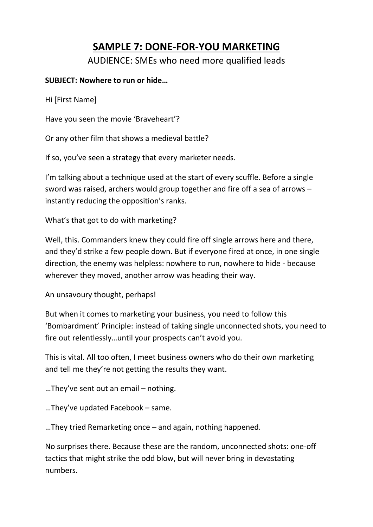### **SAMPLE 7: DONE-FOR-YOU MARKETING**

AUDIENCE: SMEs who need more qualified leads

#### **SUBJECT: Nowhere to run or hide…**

Hi [First Name]

Have you seen the movie 'Braveheart'?

Or any other film that shows a medieval battle?

If so, you've seen a strategy that every marketer needs.

I'm talking about a technique used at the start of every scuffle. Before a single sword was raised, archers would group together and fire off a sea of arrows – instantly reducing the opposition's ranks.

What's that got to do with marketing?

Well, this. Commanders knew they could fire off single arrows here and there, and they'd strike a few people down. But if everyone fired at once, in one single direction, the enemy was helpless: nowhere to run, nowhere to hide - because wherever they moved, another arrow was heading their way.

An unsavoury thought, perhaps!

But when it comes to marketing your business, you need to follow this 'Bombardment' Principle: instead of taking single unconnected shots, you need to fire out relentlessly…until your prospects can't avoid you.

This is vital. All too often, I meet business owners who do their own marketing and tell me they're not getting the results they want.

…They've sent out an email – nothing.

…They've updated Facebook – same.

…They tried Remarketing once – and again, nothing happened.

No surprises there. Because these are the random, unconnected shots: one-off tactics that might strike the odd blow, but will never bring in devastating numbers.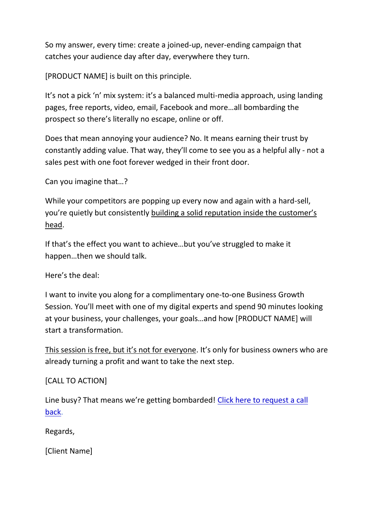So my answer, every time: create a joined-up, never-ending campaign that catches your audience day after day, everywhere they turn.

[PRODUCT NAME] is built on this principle.

It's not a pick 'n' mix system: it's a balanced multi-media approach, using landing pages, free reports, video, email, Facebook and more…all bombarding the prospect so there's literally no escape, online or off.

Does that mean annoying your audience? No. It means earning their trust by constantly adding value. That way, they'll come to see you as a helpful ally - not a sales pest with one foot forever wedged in their front door.

Can you imagine that…?

While your competitors are popping up every now and again with a hard-sell, you're quietly but consistently building a solid reputation inside the customer's head.

If that's the effect you want to achieve…but you've struggled to make it happen…then we should talk.

Here's the deal:

I want to invite you along for a complimentary one-to-one Business Growth Session. You'll meet with one of my digital experts and spend 90 minutes looking at your business, your challenges, your goals…and how [PRODUCT NAME] will start a transformation.

This session is free, but it's not for everyone. It's only for business owners who are already turning a profit and want to take the next step.

[CALL TO ACTION]

Line busy? That means we're getting bombarded! Click here to request a call back.

Regards,

[Client Name]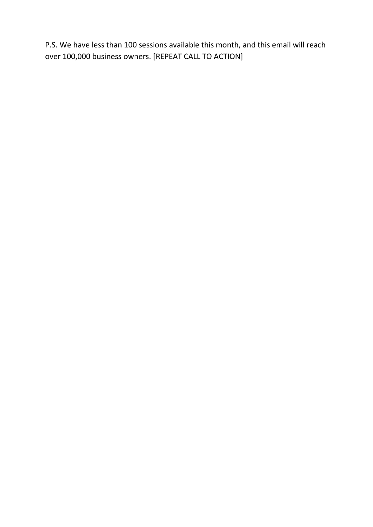P.S. We have less than 100 sessions available this month, and this email will reach over 100,000 business owners. [REPEAT CALL TO ACTION]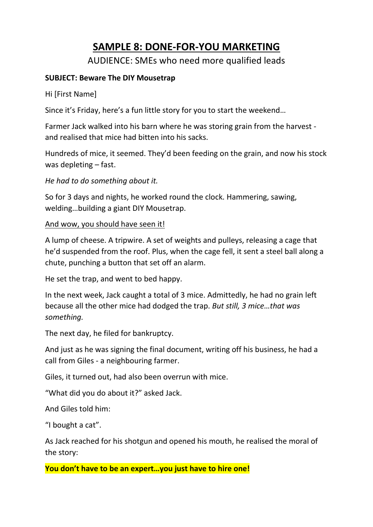### **SAMPLE 8: DONE-FOR-YOU MARKETING**

AUDIENCE: SMEs who need more qualified leads

#### **SUBJECT: Beware The DIY Mousetrap**

Hi [First Name]

Since it's Friday, here's a fun little story for you to start the weekend…

Farmer Jack walked into his barn where he was storing grain from the harvest and realised that mice had bitten into his sacks.

Hundreds of mice, it seemed. They'd been feeding on the grain, and now his stock was depleting – fast.

*He had to do something about it.* 

So for 3 days and nights, he worked round the clock. Hammering, sawing, welding…building a giant DIY Mousetrap.

#### And wow, you should have seen it!

A lump of cheese. A tripwire. A set of weights and pulleys, releasing a cage that he'd suspended from the roof. Plus, when the cage fell, it sent a steel ball along a chute, punching a button that set off an alarm.

He set the trap, and went to bed happy.

In the next week, Jack caught a total of 3 mice. Admittedly, he had no grain left because all the other mice had dodged the trap. *But still, 3 mice…that was something.*

The next day, he filed for bankruptcy.

And just as he was signing the final document, writing off his business, he had a call from Giles - a neighbouring farmer.

Giles, it turned out, had also been overrun with mice.

"What did you do about it?" asked Jack.

And Giles told him:

"I bought a cat".

As Jack reached for his shotgun and opened his mouth, he realised the moral of the story:

**You don't have to be an expert…you just have to hire one!**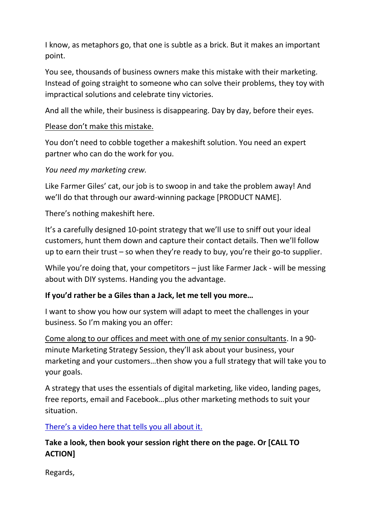I know, as metaphors go, that one is subtle as a brick. But it makes an important point.

You see, thousands of business owners make this mistake with their marketing. Instead of going straight to someone who can solve their problems, they toy with impractical solutions and celebrate tiny victories.

And all the while, their business is disappearing. Day by day, before their eyes.

#### Please don't make this mistake.

You don't need to cobble together a makeshift solution. You need an expert partner who can do the work for you.

*You need my marketing crew.*

Like Farmer Giles' cat, our job is to swoop in and take the problem away! And we'll do that through our award-winning package [PRODUCT NAME].

There's nothing makeshift here.

It's a carefully designed 10-point strategy that we'll use to sniff out your ideal customers, hunt them down and capture their contact details. Then we'll follow up to earn their trust – so when they're ready to buy, you're their go-to supplier.

While you're doing that, your competitors – just like Farmer Jack - will be messing about with DIY systems. Handing you the advantage.

#### **If you'd rather be a Giles than a Jack, let me tell you more…**

I want to show you how our system will adapt to meet the challenges in your business. So I'm making you an offer:

Come along to our offices and meet with one of my senior consultants. In a 90 minute Marketing Strategy Session, they'll ask about your business, your marketing and your customers…then show you a full strategy that will take you to your goals.

A strategy that uses the essentials of digital marketing, like video, landing pages, free reports, email and Facebook…plus other marketing methods to suit your situation.

There's a video here that tells you all about it.

#### **Take a look, then book your session right there on the page. Or [CALL TO ACTION]**

Regards,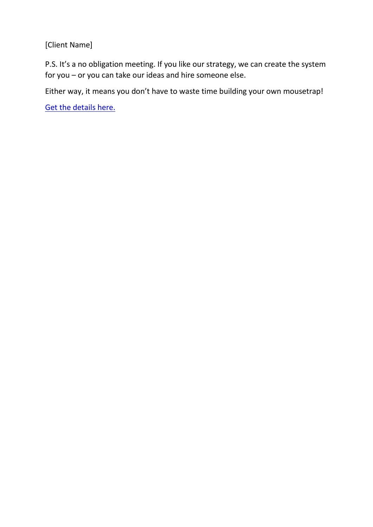[Client Name]

P.S. It's a no obligation meeting. If you like our strategy, we can create the system for you – or you can take our ideas and hire someone else.

Either way, it means you don't have to waste time building your own mousetrap!

Get the details here.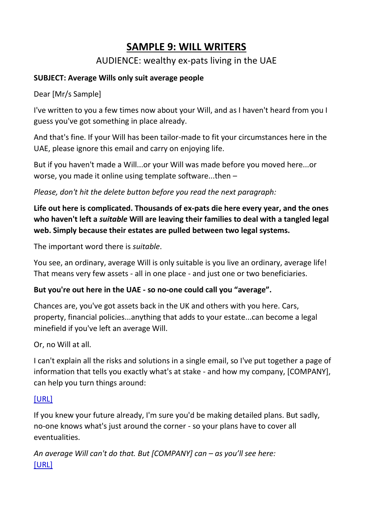### **SAMPLE 9: WILL WRITERS**

#### AUDIENCE: wealthy ex-pats living in the UAE

#### **SUBJECT: Average Wills only suit average people**

Dear [Mr/s Sample]

I've written to you a few times now about your Will, and as I haven't heard from you I guess you've got something in place already.

And that's fine. If your Will has been tailor-made to fit your circumstances here in the UAE, please ignore this email and carry on enjoying life.

But if you haven't made a Will...or your Will was made before you moved here...or worse, you made it online using template software...then –

*Please, don't hit the delete button before you read the next paragraph:*

**Life out here is complicated. Thousands of ex-pats die here every year, and the ones who haven't left a** *suitable* **Will are leaving their families to deal with a tangled legal web. Simply because their estates are pulled between two legal systems.**

The important word there is *suitable*.

You see, an ordinary, average Will is only suitable is you live an ordinary, average life! That means very few assets - all in one place - and just one or two beneficiaries.

#### **But you're out here in the UAE - so no-one could call you "average".**

Chances are, you've got assets back in the UK and others with you here. Cars, property, financial policies...anything that adds to your estate...can become a legal minefield if you've left an average Will.

Or, no Will at all.

I can't explain all the risks and solutions in a single email, so I've put together a page of information that tells you exactly what's at stake - and how my company, [COMPANY], can help you turn things around:

#### [URL]

If you knew your future already, I'm sure you'd be making detailed plans. But sadly, no-one knows what's just around the corner - so your plans have to cover all eventualities.

An average Will can't do that. But [COMPANY] can – as you'll see here: [URL]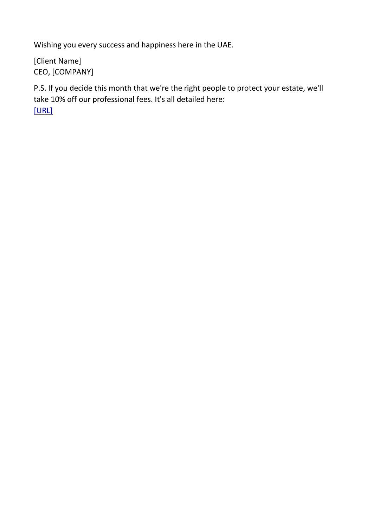Wishing you every success and happiness here in the UAE.

[Client Name] CEO, [COMPANY]

P.S. If you decide this month that we're the right people to protect your estate, we'll take 10% off our professional fees. It's all detailed here: [URL]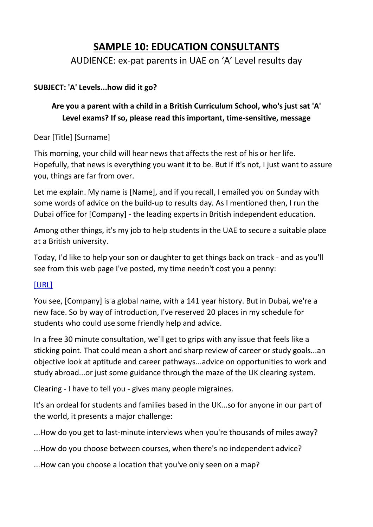### **SAMPLE 10: EDUCATION CONSULTANTS**

AUDIENCE: ex-pat parents in UAE on 'A' Level results day

#### **SUBJECT: 'A' Levels...how did it go?**

#### **Are you a parent with a child in a British Curriculum School, who's just sat 'A' Level exams? If so, please read this important, time-sensitive, message**

Dear [Title] [Surname]

This morning, your child will hear news that affects the rest of his or her life. Hopefully, that news is everything you want it to be. But if it's not, I just want to assure you, things are far from over.

Let me explain. My name is [Name], and if you recall, I emailed you on Sunday with some words of advice on the build-up to results day. As I mentioned then, I run the Dubai office for [Company] - the leading experts in British independent education.

Among other things, it's my job to help students in the UAE to secure a suitable place at a British university.

Today, I'd like to help your son or daughter to get things back on track - and as you'll see from this web page I've posted, my time needn't cost you a penny:

#### [URL]

You see, [Company] is a global name, with a 141 year history. But in Dubai, we're a new face. So by way of introduction, I've reserved 20 places in my schedule for students who could use some friendly help and advice.

In a free 30 minute consultation, we'll get to grips with any issue that feels like a sticking point. That could mean a short and sharp review of career or study goals...an objective look at aptitude and career pathways...advice on opportunities to work and study abroad...or just some guidance through the maze of the UK clearing system.

Clearing - I have to tell you - gives many people migraines.

It's an ordeal for students and families based in the UK...so for anyone in our part of the world, it presents a major challenge:

...How do you get to last-minute interviews when you're thousands of miles away?

...How do you choose between courses, when there's no independent advice?

...How can you choose a location that you've only seen on a map?